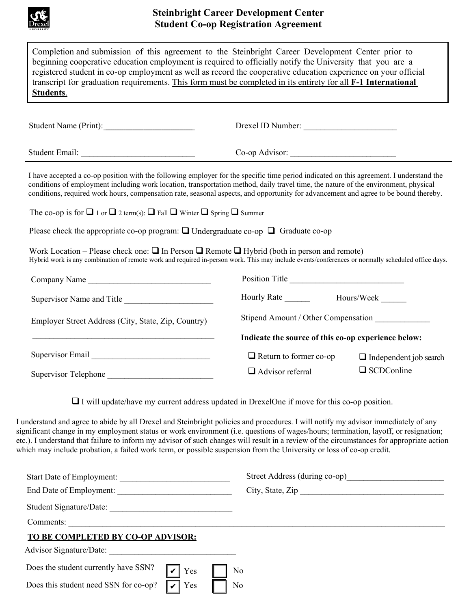

## **Steinbright Career Development Center Student Co-op Registration Agreement**

| beginning cooperative education employment is required to officially notify the University that you are a<br>registered student in co-op employment as well as record the cooperative education experience on your official<br>transcript for graduation requirements. This form must be completed in its entirety for all F-1 International<br><b>Students.</b>                                                                                                                                                                               |                                                     |                               |
|------------------------------------------------------------------------------------------------------------------------------------------------------------------------------------------------------------------------------------------------------------------------------------------------------------------------------------------------------------------------------------------------------------------------------------------------------------------------------------------------------------------------------------------------|-----------------------------------------------------|-------------------------------|
| Student Name (Print):                                                                                                                                                                                                                                                                                                                                                                                                                                                                                                                          | Drexel ID Number:                                   |                               |
|                                                                                                                                                                                                                                                                                                                                                                                                                                                                                                                                                | Co-op Advisor:                                      |                               |
| I have accepted a co-op position with the following employer for the specific time period indicated on this agreement. I understand the<br>conditions of employment including work location, transportation method, daily travel time, the nature of the environment, physical<br>conditions, required work hours, compensation rate, seasonal aspects, and opportunity for advancement and agree to be bound thereby.                                                                                                                         |                                                     |                               |
| The co-op is for $\Box$ 1 or $\Box$ 2 term(s): $\Box$ Fall $\Box$ Winter $\Box$ Spring $\Box$ Summer                                                                                                                                                                                                                                                                                                                                                                                                                                           |                                                     |                               |
| Please check the appropriate co-op program: $\Box$ Undergraduate co-op $\Box$ Graduate co-op                                                                                                                                                                                                                                                                                                                                                                                                                                                   |                                                     |                               |
| Work Location – Please check one: $\Box$ In Person $\Box$ Remote $\Box$ Hybrid (both in person and remote)<br>Hybrid work is any combination of remote work and required in-person work. This may include events/conferences or normally scheduled office days.                                                                                                                                                                                                                                                                                |                                                     |                               |
| Company Name                                                                                                                                                                                                                                                                                                                                                                                                                                                                                                                                   | Position Title                                      |                               |
| Supervisor Name and Title                                                                                                                                                                                                                                                                                                                                                                                                                                                                                                                      |                                                     |                               |
| Employer Street Address (City, State, Zip, Country)                                                                                                                                                                                                                                                                                                                                                                                                                                                                                            | Stipend Amount / Other Compensation                 |                               |
|                                                                                                                                                                                                                                                                                                                                                                                                                                                                                                                                                | Indicate the source of this co-op experience below: |                               |
|                                                                                                                                                                                                                                                                                                                                                                                                                                                                                                                                                | $\Box$ Return to former co-op                       | $\Box$ Independent job search |
| Supervisor Telephone                                                                                                                                                                                                                                                                                                                                                                                                                                                                                                                           | $\Box$ Advisor referral                             | $\Box$ SCDConline             |
| $\Box$ I will update/have my current address updated in DrexelOne if move for this co-op position.                                                                                                                                                                                                                                                                                                                                                                                                                                             |                                                     |                               |
| I understand and agree to abide by all Drexel and Steinbright policies and procedures. I will notify my advisor immediately of any<br>significant change in my employment status or work environment (i.e. questions of wages/hours; termination, layoff, or resignation;<br>etc.). I understand that failure to inform my advisor of such changes will result in a review of the circumstances for appropriate action<br>which may include probation, a failed work term, or possible suspension from the University or loss of co-op credit. |                                                     |                               |
| Start Date of Employment:                                                                                                                                                                                                                                                                                                                                                                                                                                                                                                                      |                                                     |                               |
|                                                                                                                                                                                                                                                                                                                                                                                                                                                                                                                                                | City, State, Zip                                    |                               |
| Student Signature/Date:                                                                                                                                                                                                                                                                                                                                                                                                                                                                                                                        |                                                     |                               |
| Comments:                                                                                                                                                                                                                                                                                                                                                                                                                                                                                                                                      |                                                     |                               |
| TO BE COMPLETED BY CO-OP ADVISOR:<br>Advisor Signature/Date:                                                                                                                                                                                                                                                                                                                                                                                                                                                                                   |                                                     |                               |
|                                                                                                                                                                                                                                                                                                                                                                                                                                                                                                                                                |                                                     |                               |
| Does the student currently have SSN?<br>Yes                                                                                                                                                                                                                                                                                                                                                                                                                                                                                                    | No                                                  |                               |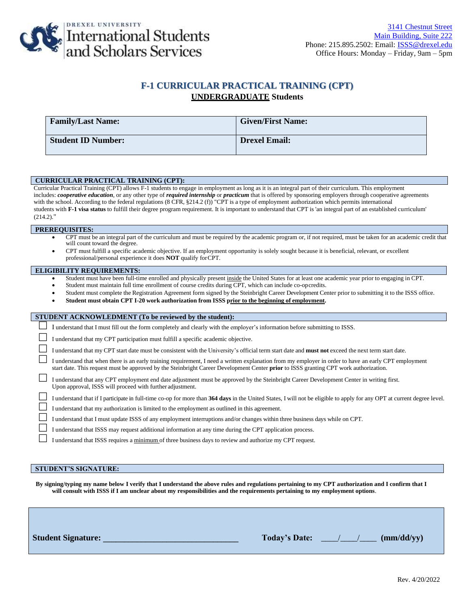

## **F-1 CURRICULAR PRACTICAL TRAINING (CPT) UNDERGRADUATE Students**

| <b>Family/Last Name:</b>  | <b>Given/First Name:</b> |
|---------------------------|--------------------------|
| <b>Student ID Number:</b> | <b>Drexel Email:</b>     |

#### **CURRICULAR PRACTICAL TRAINING (CPT):**

Curricular Practical Training (CPT) allows F-1 students to engage in employment as long as it is an integral part of their curriculum. This employment includes: *cooperative education*, or any other type of *required internship* or *practicum* that is offered by sponsoring employers through cooperative agreements with the school. According to the federal regulations (8 CFR, §214.2 (f)) "CPT is a type of employment authorization which permits international students with **F-1 visa status** to fulfill their degree program requirement. It is important to understand that CPT is 'an integral part of an established curriculum' (214.2)."

#### **PREREQUISITES:**

- CPT must be an integral part of the curriculum and must be required by the academic program or, if not required, must be taken for an academic credit that will count toward the degree.
- CPT must fulfill a specific academic objective. If an employment opportunity is solely sought because it is beneficial, relevant, or excellent professional/personal experience it does **NOT** qualify forCPT.

#### **ELIGIBILITY REQUIREMENTS:**

- Student must have been full-time enrolled and physically present inside the United States for at least one academic year prior to engaging in CPT.
- Student must maintain full time enrollment of course credits during CPT, which can include co-opcredits.
- Student must complete the Registration Agreement form signed by the Steinbright Career Development Center prior to submitting it to the ISSS office.
- **Student must obtain CPT I-20 work authorization from ISSS prior to the beginning of employment.**

| STUDENT ACKNOWLEDMENT (To be reviewed by the student): |                                                                                                                                                                                                                                                                                                       |  |  |  |
|--------------------------------------------------------|-------------------------------------------------------------------------------------------------------------------------------------------------------------------------------------------------------------------------------------------------------------------------------------------------------|--|--|--|
|                                                        | I understand that I must fill out the form completely and clearly with the employer's information before submitting to ISSS.                                                                                                                                                                          |  |  |  |
|                                                        | I understand that my CPT participation must fulfill a specific academic objective.                                                                                                                                                                                                                    |  |  |  |
|                                                        | I understand that my CPT start date must be consistent with the University's official term start date and must not exceed the next term start date.                                                                                                                                                   |  |  |  |
|                                                        | I understand that when there is an early training requirement. I need a written explanation from my employer in order to have an early CPT employment<br>start date. This request must be approved by the Steinbright Career Development Center <b>prior</b> to ISSS granting CPT work authorization. |  |  |  |
|                                                        | I understand that any CPT employment end date adjustment must be approved by the Steinbright Career Development Center in writing first.<br>Upon approval, ISSS will proceed with further adjustment.                                                                                                 |  |  |  |
|                                                        | I understand that if I participate in full-time co-op for more than 364 days in the United States, I will not be eligible to apply for any OPT at current degree level.                                                                                                                               |  |  |  |
|                                                        | I understand that my authorization is limited to the employment as outlined in this agreement.                                                                                                                                                                                                        |  |  |  |
|                                                        | I understand that I must update ISSS of any employment interruptions and/or changes within three business days while on CPT.                                                                                                                                                                          |  |  |  |
|                                                        | I understand that ISSS may request additional information at any time during the CPT application process.                                                                                                                                                                                             |  |  |  |
|                                                        | I understand that ISSS requires a minimum of three business days to review and authorize my CPT request.                                                                                                                                                                                              |  |  |  |
|                                                        |                                                                                                                                                                                                                                                                                                       |  |  |  |

#### **STUDENT'S SIGNATURE:**

**By signing/typing my name below I verify that I understand the above rules and regulations pertaining to my CPT authorization and I confirm that I will consult with ISSS if I am unclear about my responsibilities and the requirements pertaining to my employment options**.

| <b>Student Signature:</b> | <b>Today's Date:</b> | (mm/dd/yy) |
|---------------------------|----------------------|------------|
|                           |                      |            |